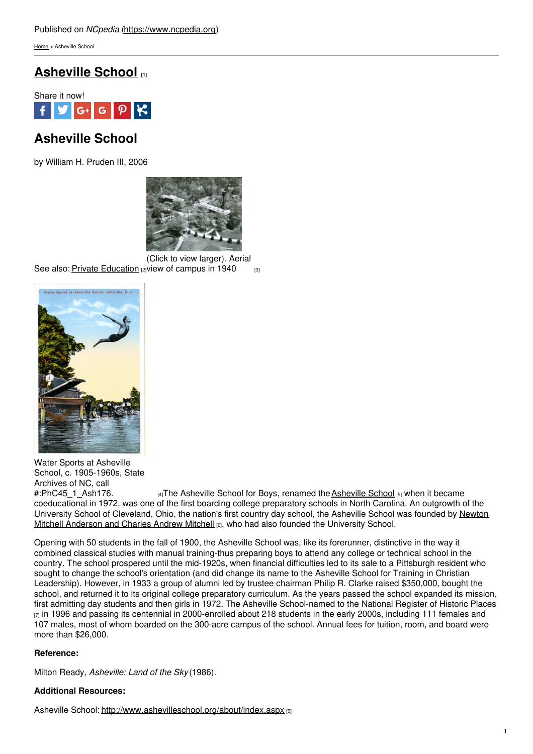[Home](https://www.ncpedia.org/) > Asheville School

## **[Asheville](https://www.ncpedia.org/asheville-school) School [1]**



# **Asheville School**

by William H. Pruden III, 2006



See also: <u>Private [Education](https://www.ncpedia.org/education-private)</u> വ priew of [campus](https://www.ncpedia.org/sites/default/files/asheville_school.jpeg) in 1940  $_{\rm{[3]}}$ (Click to view larger). Aerial



Water Sports at Asheville School, c. 1905-1960s, State Archives of NC, call #:PhC45 1 Ash176. [4]The [Asheville](http://www.ashevilleschool.org/about/index.aspx) School for Boys, renamed the Asheville School [5] when it became coeducational in 1972, was one of the first boarding college preparatory schools in North Carolina. An outgrowth of the University School of [Cleveland,](http://www.ashevilleschool.org/about/schoolhistory.aspx) Ohio, the nation's first country day school, the Asheville School was founded by Newton Mitchell Anderson and Charles Andrew Mitchell [6], who had also founded the University School.

Opening with 50 students in the fall of 1900, the Asheville School was, like its forerunner, distinctive in the way it combined classical studies with manual training-thus preparing boys to attend any college or technical school in the country. The school prospered until the mid-1920s, when financial difficulties led to its sale to a Pittsburgh resident who sought to change the school's orientation (and did change its name to the Asheville School for Training in Christian Leadership). However, in 1933 a group of alumni led by trustee chairman Philip R. Clarke raised \$350,000, bought the school, and returned it to its original college preparatory curriculum. As the years passed the school expanded its mission, first admitting day students and then girls in 1972. The Asheville School-named to the National [Register](https://www.nps.gov/nr/) of Historic Places  $\overline{z}$  in 1996 and passing its centennial in 2000-enrolled about 218 students in the early 2000s, including 111 females and 107 males, most of whom boarded on the 300-acre campus of the school. Annual fees for tuition, room, and board were more than \$26,000.

### **Reference:**

Milton Ready, *Asheville: Land of the Sky* (1986).

### **Additional Resources:**

Asheville School: <http://www.ashevilleschool.org/about/index.aspx> [5]